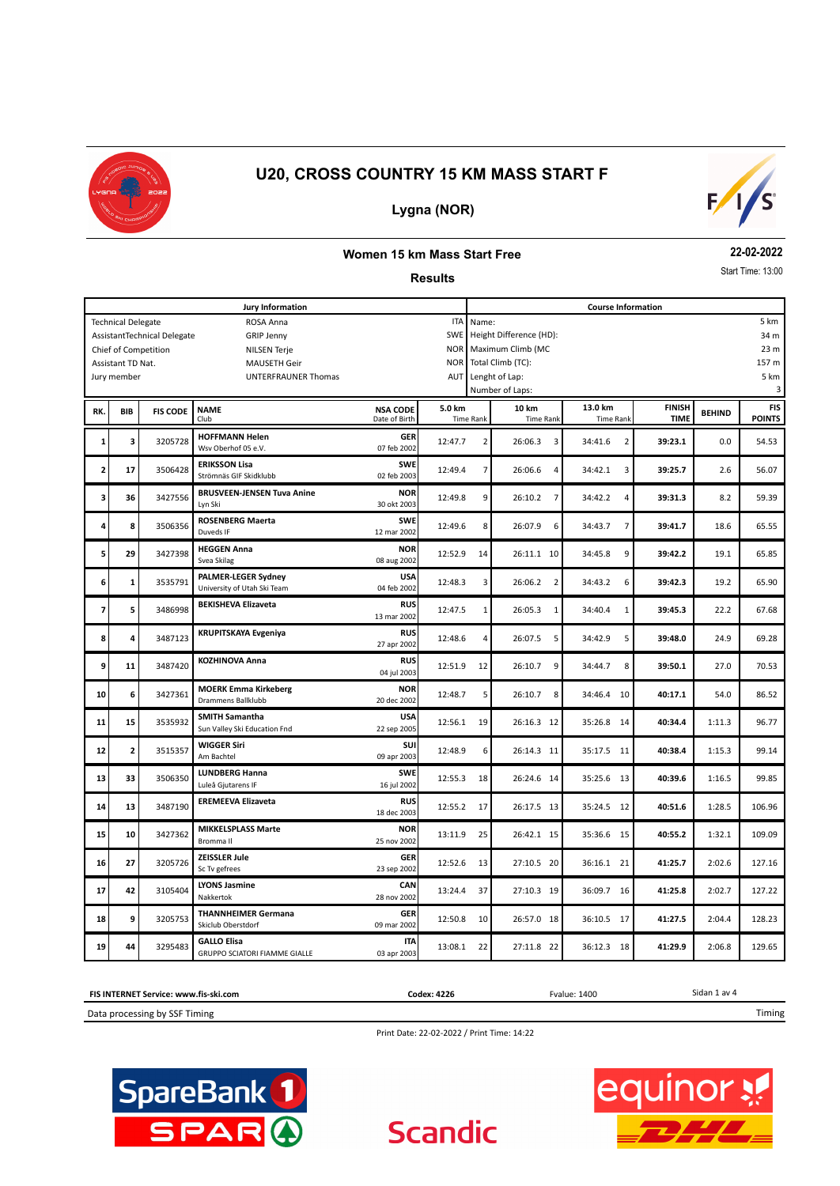

## **Lygna (NOR)**



#### **Women 15 km Mass Start Free**

#### **Results**

**22-02-2022**

Start Time: 13:00

|                                             |                           |                             | <b>Jury Information</b>                                        | <b>Course Information</b>        |            |                                               |                           |                             |                              |               |                             |  |  |
|---------------------------------------------|---------------------------|-----------------------------|----------------------------------------------------------------|----------------------------------|------------|-----------------------------------------------|---------------------------|-----------------------------|------------------------------|---------------|-----------------------------|--|--|
|                                             | <b>Technical Delegate</b> |                             | ROSA Anna                                                      |                                  | <b>ITA</b> | 5 km<br>Name:                                 |                           |                             |                              |               |                             |  |  |
|                                             |                           | AssistantTechnical Delegate | <b>GRIP Jenny</b>                                              |                                  | SWE        | Height Difference (HD):<br>34 m               |                           |                             |                              |               |                             |  |  |
| Chief of Competition<br><b>NILSEN Terje</b> |                           |                             |                                                                |                                  |            |                                               | Maximum Climb (MC         |                             |                              |               | 23 m                        |  |  |
|                                             | Assistant TD Nat.         |                             | <b>MAUSETH Geir</b>                                            |                                  | <b>NOR</b> |                                               | Total Climb (TC):         |                             |                              |               | 157 m                       |  |  |
|                                             | Jury member               |                             | UNTERFRAUNER Thomas                                            |                                  | AUT        |                                               | Lenght of Lap:            |                             |                              |               | 5 km                        |  |  |
|                                             |                           |                             |                                                                |                                  |            |                                               | Number of Laps:           |                             |                              |               | 3                           |  |  |
| RK.                                         | <b>BIB</b>                | <b>FIS CODE</b>             | <b>NAME</b><br>Club                                            | <b>NSA CODE</b><br>Date of Birth | 5.0 km     | 10 km<br><b>Time Rank</b><br><b>Time Rank</b> |                           | 13.0 km<br><b>Time Rank</b> | <b>FINISH</b><br><b>TIME</b> | <b>BEHIND</b> | <b>FIS</b><br><b>POINTS</b> |  |  |
| 1                                           | 3                         | 3205728                     | <b>HOFFMANN Helen</b><br>Wsv Oberhof 05 e.V.                   | <b>GER</b><br>07 feb 2002        | 12:47.7    | $\overline{2}$                                | 26:06.3<br>3              | 34:41.6<br>$\overline{2}$   | 39:23.1                      | 0.0           | 54.53                       |  |  |
| 2                                           | 17                        | 3506428                     | <b>ERIKSSON Lisa</b><br>Strömnäs GIF Skidklubb                 | <b>SWE</b><br>02 feb 2003        | 12:49.4    | $\overline{7}$                                | 26:06.6<br>$\overline{4}$ | 34:42.1<br>3                | 39:25.7                      | 2.6           | 56.07                       |  |  |
| 3                                           | 36                        | 3427556                     | <b>BRUSVEEN-JENSEN Tuva Anine</b><br>Lyn Ski                   | <b>NOR</b><br>30 okt 2003        | 12:49.8    | 9                                             | 26:10.2<br>$\overline{7}$ | 34:42.2<br>$\overline{4}$   | 39:31.3                      | 8.2           | 59.39                       |  |  |
| 4                                           | 8                         | 3506356                     | <b>ROSENBERG Maerta</b><br>Duveds IF                           | <b>SWE</b><br>12 mar 2002        | 12:49.6    | 8                                             | 26:07.9<br>6              | $\overline{7}$<br>34:43.7   | 39:41.7                      | 18.6          | 65.55                       |  |  |
| 5                                           | 29                        | 3427398                     | <b>HEGGEN Anna</b><br><b>NOR</b><br>Svea Skilag<br>08 aug 2002 |                                  | 12:52.9    | 14                                            | 26:11.1 10                | 34:45.8<br>9                | 39:42.2                      | 19.1          | 65.85                       |  |  |
| 6                                           | $\mathbf 1$               | 3535791                     | <b>PALMER-LEGER Sydney</b><br>University of Utah Ski Team      | <b>USA</b><br>04 feb 2002        |            | 3                                             | 26:06.2<br>$\overline{2}$ | 34:43.2<br>6                | 39:42.3                      | 19.2          | 65.90                       |  |  |
| 7                                           | 5                         | 3486998                     | <b>BEKISHEVA Elizaveta</b>                                     | <b>RUS</b><br>13 mar 2002        | 12:47.5    | 1                                             | 26:05.3<br>$\mathbf{1}$   | 34:40.4<br>$\mathbf{1}$     | 39:45.3                      | 22.2          | 67.68                       |  |  |
| 8                                           | 4                         | 3487123                     | <b>KRUPITSKAYA Evgeniya</b>                                    | <b>RUS</b><br>27 apr 2002        | 12:48.6    | $\overline{4}$                                | 26:07.5<br>5              | 34:42.9<br>5                | 39:48.0                      | 24.9          | 69.28                       |  |  |
| 9                                           | 11                        | 3487420                     | <b>KOZHINOVA Anna</b>                                          | <b>RUS</b><br>04 jul 2003        | 12:51.9    | 12                                            | 26:10.7<br>9              | 34:44.7<br>8                | 39:50.1                      | 27.0          | 70.53                       |  |  |
| 10                                          | 6                         | 3427361                     | <b>MOERK Emma Kirkeberg</b><br><b>Drammens Ballklubb</b>       | <b>NOR</b><br>20 dec 2002        | 12:48.7    | 5                                             | 26:10.7<br>8              | 34:46.4<br>10               | 40:17.1                      | 54.0          | 86.52                       |  |  |
| 11                                          | 15                        | 3535932                     | <b>SMITH Samantha</b><br>Sun Valley Ski Education Fnd          | <b>USA</b><br>22 sep 2005        | 12:56.1    | 19                                            | 26:16.3 12                | 35:26.8<br>14               | 40:34.4                      | 1:11.3        | 96.77                       |  |  |
| 12                                          | $\overline{\mathbf{c}}$   | 3515357                     | <b>WIGGER Siri</b><br>Am Bachtel                               | <b>SUI</b><br>09 apr 2003        | 12:48.9    | 6                                             | 26:14.3 11                | 35:17.5<br>11               | 40:38.4                      | 1:15.3        | 99.14                       |  |  |
| 13                                          | 33                        | 3506350                     | <b>LUNDBERG Hanna</b><br>Luleå Gjutarens IF                    | <b>SWE</b><br>16 jul 2002        | 12:55.3    | 18                                            | 26:24.6 14                | 35:25.6<br>- 13             | 40:39.6                      | 1:16.5        | 99.85                       |  |  |
| 14                                          | 13                        | 3487190                     | <b>EREMEEVA Elizaveta</b>                                      | <b>RUS</b><br>18 dec 2003        | 12:55.2    | 17                                            | 26:17.5 13                | 35:24.5<br>12               | 40:51.6                      | 1:28.5        | 106.96                      |  |  |
| 15                                          | 10                        | 3427362                     | <b>MIKKELSPLASS Marte</b><br>Bromma II                         | <b>NOR</b><br>25 nov 2002        | 13:11.9    | 25                                            | 26:42.1 15                | 35:36.6<br>- 15             | 40:55.2                      | 1:32.1        | 109.09                      |  |  |
| 16                                          | 27                        | 3205726                     | <b>ZEISSLER Jule</b><br>Sc Tv gefrees                          | <b>GER</b><br>23 sep 2002        | 12:52.6    | 13                                            | 27:10.5 20                | 36:16.1 21                  | 41:25.7                      | 2:02.6        | 127.16                      |  |  |
| 17                                          | 42                        | 3105404                     | <b>LYONS Jasmine</b><br>Nakkertok                              | CAN<br>28 nov 2002               | 13:24.4    | 37                                            | 27:10.3 19                | 36:09.7<br>16               | 41:25.8                      | 2:02.7        | 127.22                      |  |  |
| 18                                          | 9                         | 3205753                     | <b>THANNHEIMER Germana</b><br>Skiclub Oberstdorf               | <b>GER</b><br>09 mar 2002        | 12:50.8    | 10                                            | 26:57.0 18                | 17<br>36:10.5               | 41:27.5                      | 2:04.4        | 128.23                      |  |  |
| 19                                          | 44                        | 3295483                     | <b>GALLO Elisa</b><br><b>GRUPPO SCIATORI FIAMME GIALLE</b>     | <b>ITA</b><br>03 apr 2003        | 13:08.1    | 22                                            | 27:11.8 22                | 36:12.3<br>18               | 41:29.9                      | 2:06.8        | 129.65                      |  |  |

Sidan 1 av 4 Data processing by SSF Timing **FIS INTERNET Service: www.fis-ski.com** Timing **Codex: 4226** Fvalue: 1400

Print Date: 22-02-2022 / Print Time: 14:22

**Scandic** 



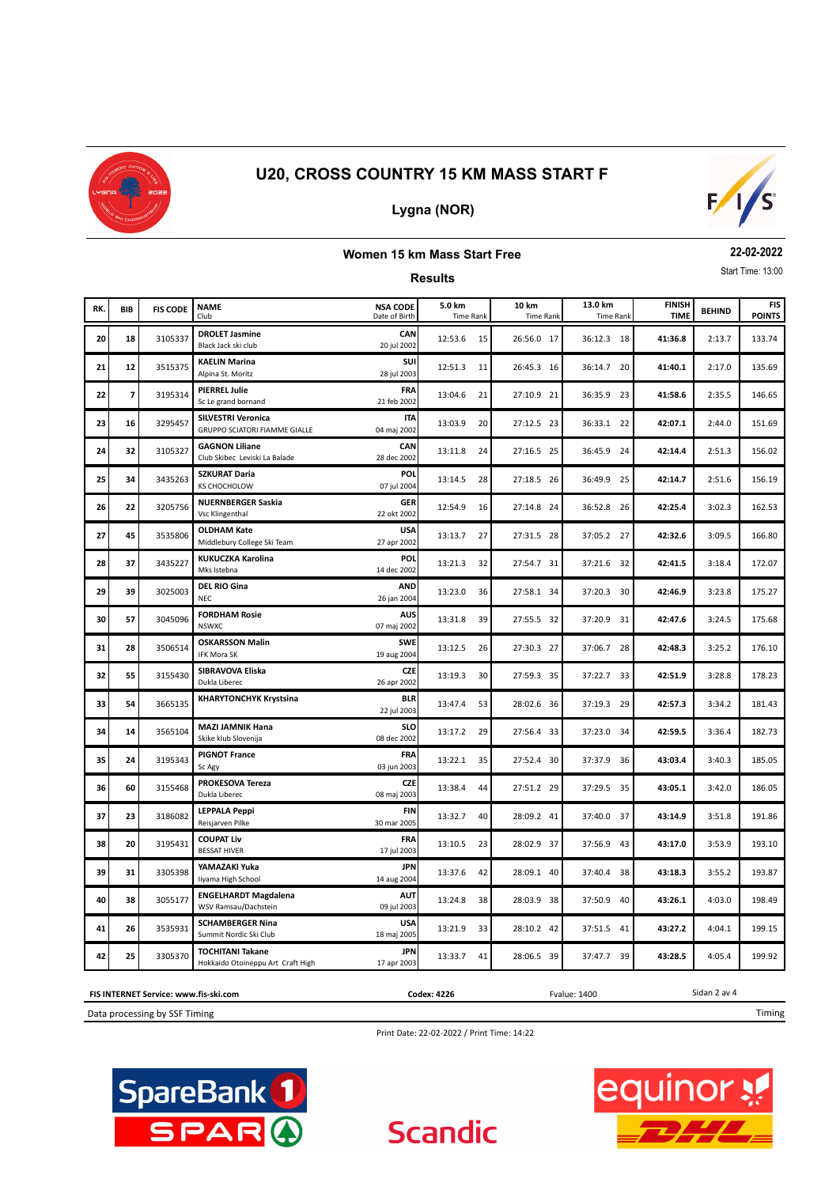

## **Lygna (NOR)**



#### **Women 15 km Mass Start Free**

**Results**

**22-02-2022** Start Time: 13:00

| RK. | <b>BIB</b>               | <b>FIS CODE</b> | <b>NAME</b><br>Club                                               | <b>NSA CODE</b><br>Date of Birth | 5.0 km<br><b>Time Rank</b> | 10 km<br><b>Time Rank</b> | 13.0 km<br><b>Time Rank</b> | <b>FINISH</b><br><b>TIME</b> | <b>BEHIND</b> | <b>FIS</b><br><b>POINTS</b> |
|-----|--------------------------|-----------------|-------------------------------------------------------------------|----------------------------------|----------------------------|---------------------------|-----------------------------|------------------------------|---------------|-----------------------------|
| 20  | 18                       | 3105337         | <b>DROLET Jasmine</b><br>Black Jack ski club                      | CAN<br>20 jul 2002               | 12:53.6<br>15              | 26:56.0 17                | 36:12.3 18                  | 41:36.8                      | 2:13.7        | 133.74                      |
| 21  | 12                       | 3515375         | <b>KAELIN Marina</b><br>Alpina St. Moritz                         | SUI<br>28 jul 2003               | 12:51.3<br>11              | 26:45.3 16                | 36:14.7 20                  | 41:40.1                      | 2:17.0        | 135.69                      |
| 22  | $\overline{\phantom{a}}$ | 3195314         | <b>PIERREL Julie</b><br>Sc Le grand bornand                       | <b>FRA</b><br>21 feb 2002        | 13:04.6<br>21              | 27:10.9 21                | 36:35.9 23                  | 41:58.6                      | 2:35.5        | 146.65                      |
| 23  | 16                       | 3295457         | <b>SILVESTRI Veronica</b><br><b>GRUPPO SCIATORI FIAMME GIALLE</b> | <b>ITA</b><br>04 maj 2002        | 13:03.9<br>20              | 27:12.5 23                | 36:33.1 22                  | 42:07.1                      | 2:44.0        | 151.69                      |
| 24  | 32                       | 3105327         | <b>GAGNON Liliane</b><br>Club Skibec Leviski La Balade            | CAN<br>28 dec 2002               | 13:11.8<br>24              | 27:16.5 25                | 36:45.9 24                  | 42:14.4                      | 2:51.3        | 156.02                      |
| 25  | 34                       | 3435263         | <b>SZKURAT Daria</b><br>KS CHOCHOLOW                              | POL<br>07 jul 2004               | 13:14.5<br>28              | 27:18.5 26                | 36:49.9<br>25               | 42:14.7                      | 2:51.6        | 156.19                      |
| 26  | 22                       | 3205756         | <b>NUERNBERGER Saskia</b><br><b>Vsc Klingenthal</b>               | <b>GER</b><br>22 okt 2002        | 12:54.9<br>16              | 27:14.8 24                | 36:52.8<br>26               | 42:25.4                      | 3:02.3        | 162.53                      |
| 27  | 45                       | 3535806         | <b>OLDHAM Kate</b><br>Middlebury College Ski Team                 | <b>USA</b><br>27 apr 2002        | 13:13.7<br>27              | 27:31.5 28                | 37:05.2 27                  | 42:32.6                      |               | 166.80                      |
| 28  | 37                       | 3435227         | KUKUCZKA Karolina<br>Mks Istebna                                  | POL<br>14 dec 2002               | 13:21.3<br>32              | 27:54.7 31                | 37:21.6 32                  | 42:41.5                      | 3:18.4        | 172.07                      |
| 29  | 39                       | 3025003         | <b>DEL RIO Gina</b><br><b>NEC</b>                                 | <b>AND</b><br>26 jan 2004        | 13:23.0<br>36              | 27:58.1 34                | 37:20.3 30                  | 42:46.9                      | 3:23.8        | 175.27                      |
| 30  | 57                       | 3045096         | <b>FORDHAM Rosie</b><br><b>NSWXC</b>                              | <b>AUS</b><br>07 maj 2002        | 13:31.8<br>39              | 27:55.5 32                | 37:20.9 31                  | 42:47.6                      | 3:24.5        | 175.68                      |
| 31  | 28                       | 3506514         | <b>OSKARSSON Malin</b><br><b>IFK Mora SK</b>                      | <b>SWE</b><br>19 aug 2004        | 13:12.5<br>26              | 27:30.3 27                | 37:06.7<br>28               | 42:48.3                      | 3:25.2        | 176.10                      |
| 32  | 55                       | 3155430         | SIBRAVOVA Eliska<br>Dukla Liberec                                 | <b>CZE</b><br>26 apr 2002        | 13:19.3<br>30              | 27:59.3 35                | 37:22.7 33                  | 42:51.9                      | 3:28.8        | 178.23                      |
| 33  | 54                       | 3665135         | <b>KHARYTONCHYK Krystsina</b>                                     | <b>BLR</b><br>22 jul 2003        | 13:47.4<br>53              | 28:02.6 36                | 37:19.3 29                  | 42:57.3                      | 3:34.2        | 181.43                      |
| 34  | 14                       | 3565104         | <b>MAZI JAMNIK Hana</b><br>Skike klub Slovenija                   | <b>SLO</b><br>08 dec 2002        | 13:17.2<br>29              | 27:56.4 33                | 37:23.0 34                  | 42:59.5                      | 3:36.4        | 182.73                      |
| 35  | 24                       | 3195343         | <b>PIGNOT France</b><br>Sc Agy                                    | <b>FRA</b><br>03 jun 2003        | 13:22.1<br>35              | 27:52.4 30                | 37:37.9 36                  | 43:03.4                      | 3:40.3        | 185.05                      |
| 36  | 60                       | 3155468         | <b>PROKESOVA Tereza</b><br>Dukla Liberec                          | <b>CZE</b><br>08 maj 2003        | 13:38.4<br>44              | 27:51.2 29                | 37:29.5 35                  | 43:05.1                      | 3:42.0        | 186.05                      |
| 37  | 23                       | 3186082         | <b>LEPPALA Peppi</b><br>Reisjarven Pilke                          | FIN<br>30 mar 2005               | 13:32.7<br>40              | 28:09.2 41                | 37:40.0 37                  | 43:14.9                      | 3:51.8        | 191.86                      |
| 38  | 20                       | 3195431         | <b>COUPAT Liv</b><br><b>BESSAT HIVER</b>                          | FRA<br>17 jul 2003               | 13:10.5<br>23              | 28:02.9 37                | 37:56.9<br>43               | 43:17.0                      | 3:53.9        | 193.10                      |
| 39  | 31                       | 3305398         | YAMAZAKI Yuka<br>liyama High School                               | <b>JPN</b><br>14 aug 2004        | 13:37.6<br>42              | 28:09.1 40                | 37:40.4 38                  | 43:18.3                      | 3:55.2        | 193.87                      |
| 40  | 38                       | 3055177         | <b>ENGELHARDT Magdalena</b><br>WSV Ramsau/Dachstein               | <b>AUT</b><br>09 jul 2003        | 13:24.8<br>38              | 28:03.9 38                | 37:50.9<br>40               | 43:26.1                      | 4:03.0        | 198.49                      |
| 41  | 26                       | 3535931         | <b>SCHAMBERGER Nina</b><br>Summit Nordic Ski Club                 | <b>USA</b><br>18 maj 2005        | 13:21.9<br>33              | 28:10.2 42                | 37:51.5 41                  | 43:27.2                      | 4:04.1        | 199.15                      |
| 42  | 25                       | 3305370         | <b>TOCHITANI Takane</b><br>Hokkaido Otoineppu Art Craft High      | <b>JPN</b><br>17 apr 2003        | 13:33.7<br>41              | 28:06.5 39                | 37:47.7 39                  | 43:28.5                      | 4:05.4        | 199.92                      |

**FIS INTERNET Service: www.fis-ski.com**

Data processing by SSF Timing

Print Date: 22-02-2022 / Print Time: 14:22

**Scandic** 

**Codex: 4226** Fvalue: 1400





Sidan 2 av 4

Timing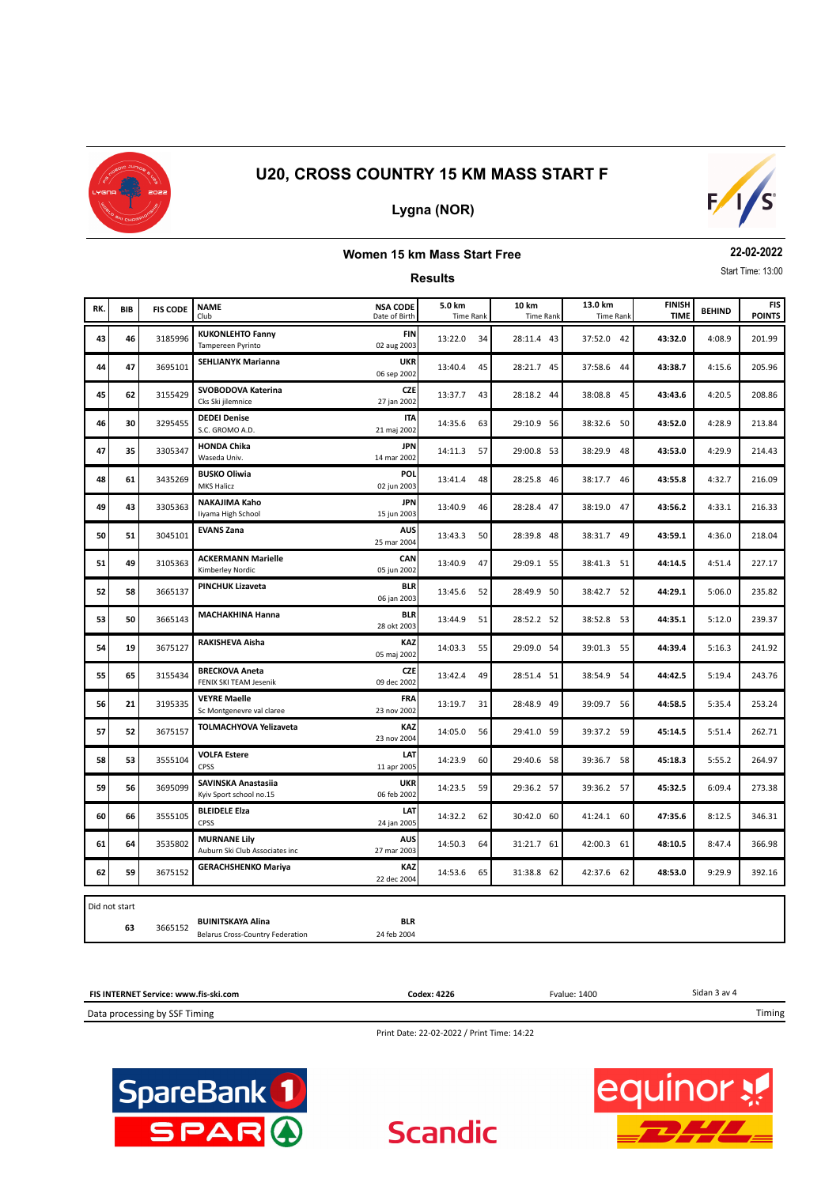

## **Lygna (NOR)**



## **Women 15 km Mass Start Free**

**Results**

**22-02-2022** Start Time: 13:00

|     |               |                 | <b>NAME</b>                                           | <b>NSA CODE</b>           | 5.0 km           | 10 km            | 13.0 km          | <b>FINISH</b> |               | <b>FIS</b>    |
|-----|---------------|-----------------|-------------------------------------------------------|---------------------------|------------------|------------------|------------------|---------------|---------------|---------------|
| RK. | <b>BIB</b>    | <b>FIS CODE</b> | Club                                                  | Date of Birth             | <b>Time Rank</b> | <b>Time Rank</b> | <b>Time Rank</b> | <b>TIME</b>   | <b>BEHIND</b> | <b>POINTS</b> |
| 43  | 46            | 3185996         | <b>KUKONLEHTO Fanny</b><br>Tampereen Pyrinto          | <b>FIN</b><br>02 aug 2003 | 13:22.0<br>34    | 28:11.4 43       | 37:52.0 42       | 43:32.0       | 4:08.9        | 201.99        |
| 44  | 47            | 3695101         | <b>SEHLIANYK Marianna</b>                             | <b>UKR</b><br>06 sep 2002 | 13:40.4<br>45    | 28:21.7 45       | 37:58.6 44       | 43:38.7       | 4:15.6        | 205.96        |
| 45  | 62            | 3155429         | SVOBODOVA Katerina<br>Cks Ski jilemnice               | <b>CZE</b><br>27 jan 2002 | 13:37.7<br>43    | 28:18.2 44       | 38:08.8 45       | 43:43.6       | 4:20.5        | 208.86        |
| 46  | 30            | 3295455         | <b>DEDEI Denise</b><br>S.C. GROMO A.D.                | <b>ITA</b><br>21 maj 2002 | 14:35.6<br>63    | 29:10.9 56       | 38:32.6 50       | 43:52.0       | 4:28.9        | 213.84        |
| 47  | 35            | 3305347         | <b>HONDA Chika</b><br>Waseda Univ.                    | <b>JPN</b><br>14 mar 2002 | 14:11.3<br>57    | 29:00.8 53       | 38:29.9 48       | 43:53.0       | 4:29.9        | 214.43        |
| 48  | 61            | 3435269         | <b>BUSKO Oliwia</b><br>MKS Halicz                     | POL<br>02 jun 2003        | 13:41.4<br>48    | 28:25.8 46       | 38:17.7 46       | 43:55.8       | 4:32.7        | 216.09        |
| 49  | 43            | 3305363         | NAKAJIMA Kaho<br>liyama High School                   | <b>JPN</b><br>15 jun 2003 | 13:40.9<br>46    | 28:28.4 47       | 38:19.0 47       | 43:56.2       | 4:33.1        | 216.33        |
| 50  | 51            | 3045101         | <b>EVANS Zana</b>                                     | <b>AUS</b><br>25 mar 2004 | 13:43.3<br>50    | 28:39.8 48       | 38:31.7 49       | 43:59.1       | 4:36.0        | 218.04        |
| 51  | 49            | 3105363         | <b>ACKERMANN Marielle</b><br>Kimberley Nordic         | CAN<br>05 jun 2002        | 13:40.9<br>47    | 29:09.1 55       | 38:41.3 51       | 44:14.5       | 4:51.4        | 227.17        |
| 52  | 58            | 3665137         | <b>PINCHUK Lizaveta</b>                               | <b>BLR</b><br>06 jan 2003 | 13:45.6<br>52    | 28:49.9 50       | 38:42.7 52       | 44:29.1       | 5:06.0        | 235.82        |
| 53  | 50            | 3665143         | <b>MACHAKHINA Hanna</b>                               | <b>BLR</b><br>28 okt 2003 | 13:44.9<br>51    | 28:52.2 52       | 38:52.8 53       | 44:35.1       | 5:12.0        | 239.37        |
| 54  | 19            | 3675127         | RAKISHEVA Aisha                                       | KAZ<br>05 maj 2002        | 14:03.3<br>55    | 29:09.0 54       | 39:01.3 55       | 44:39.4       | 5:16.3        | 241.92        |
| 55  | 65            | 3155434         | <b>BRECKOVA Aneta</b><br>FENIX SKI TEAM Jesenik       | <b>CZE</b><br>09 dec 2002 | 49<br>13:42.4    | 28:51.4 51       | 38:54.9 54       | 44:42.5       | 5:19.4        | 243.76        |
| 56  | 21            | 3195335         | <b>VEYRE Maelle</b><br>Sc Montgenevre val claree      | <b>FRA</b><br>23 nov 2002 | 13:19.7<br>31    | 28:48.9 49       | 39:09.7 56       | 44:58.5       | 5:35.4        | 253.24        |
| 57  | 52            | 3675157         | <b>TOLMACHYOVA Yelizaveta</b>                         | <b>KAZ</b><br>23 nov 2004 | 14:05.0<br>56    | 29:41.0 59       | 39:37.2 59       | 45:14.5       | 5:51.4        | 262.71        |
| 58  | 53            | 3555104         | <b>VOLFA Estere</b><br>CPSS                           | LAT<br>11 apr 2005        | 14:23.9<br>60    | 29:40.6 58       | 39:36.7 58       | 45:18.3       | 5:55.2        | 264.97        |
| 59  | 56            | 3695099         | SAVINSKA Anastasiia<br>Kyiv Sport school no.15        | <b>UKR</b><br>06 feb 2002 | 14:23.5<br>59    | 29:36.2 57       | 39:36.2 57       | 45:32.5       | 6:09.4        | 273.38        |
| 60  | 66            | 3555105         | <b>BLEIDELE Elza</b><br>CPSS                          | LAT<br>24 jan 2005        | 14:32.2<br>62    | 30:42.0 60       | 41:24.1 60       | 47:35.6       | 8:12.5        | 346.31        |
| 61  | 64            | 3535802         | <b>MURNANE Lily</b><br>Auburn Ski Club Associates inc | <b>AUS</b><br>27 mar 2003 | 14:50.3<br>64    | 31:21.7 61       | 42:00.3 61       | 48:10.5       | 8:47.4        | 366.98        |
| 62  | 59            | 3675152         | <b>GERACHSHENKO Mariya</b>                            | <b>KAZ</b><br>22 dec 2004 | 14:53.6<br>65    | 31:38.8 62       | 42:37.6 62       | 48:53.0       | 9:29.9        | 392.16        |
|     | Did not start |                 |                                                       |                           |                  |                  |                  |               |               |               |

Did not start

**63** 3665152

24 feb 2004 **BLR**

**Codex: 4226** Fvalue: 1400

Sidan 3 av 4

Timing

Data processing by SSF Timing

**FIS INTERNET Service: www.fis-ski.com**

Print Date: 22-02-2022 / Print Time: 14:22

**Scandic** 



Belarus Cross-Country Federation **BUINITSKAYA Alina**